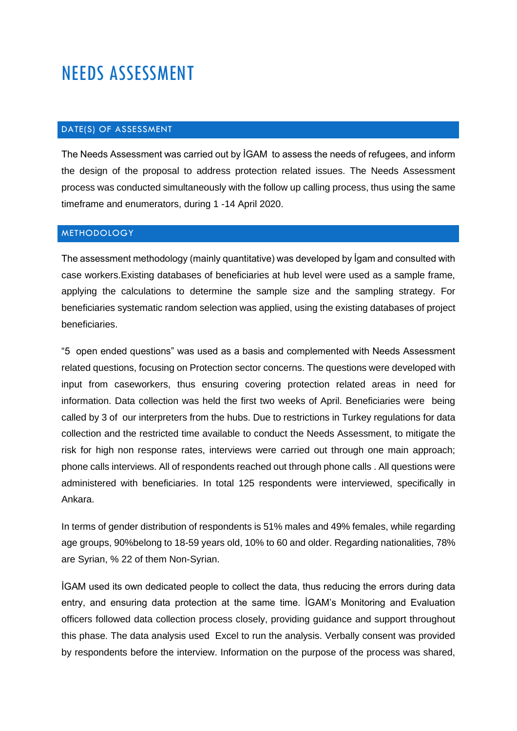# NEEDS ASSESSMENT

# DATE(S) OF ASSESSMENT

The Needs Assessment was carried out by İGAM to assess the needs of refugees, and inform the design of the proposal to address protection related issues. The Needs Assessment process was conducted simultaneously with the follow up calling process, thus using the same timeframe and enumerators, during 1 -14 April 2020.

## **METHODOLOGY**

The assessment methodology (mainly quantitative) was developed by İgam and consulted with case workers.Existing databases of beneficiaries at hub level were used as a sample frame, applying the calculations to determine the sample size and the sampling strategy. For beneficiaries systematic random selection was applied, using the existing databases of project beneficiaries.

"5 open ended questions" was used as a basis and complemented with Needs Assessment related questions, focusing on Protection sector concerns. The questions were developed with input from caseworkers, thus ensuring covering protection related areas in need for information. Data collection was held the first two weeks of April. Beneficiaries were being called by 3 of our interpreters from the hubs. Due to restrictions in Turkey regulations for data collection and the restricted time available to conduct the Needs Assessment, to mitigate the risk for high non response rates, interviews were carried out through one main approach; phone calls interviews. All of respondents reached out through phone calls . All questions were administered with beneficiaries. In total 125 respondents were interviewed, specifically in Ankara.

In terms of gender distribution of respondents is 51% males and 49% females, while regarding age groups, 90%belong to 18-59 years old, 10% to 60 and older. Regarding nationalities, 78% are Syrian, % 22 of them Non-Syrian.

İGAM used its own dedicated people to collect the data, thus reducing the errors during data entry, and ensuring data protection at the same time. İGAM's Monitoring and Evaluation officers followed data collection process closely, providing guidance and support throughout this phase. The data analysis used Excel to run the analysis. Verbally consent was provided by respondents before the interview. Information on the purpose of the process was shared,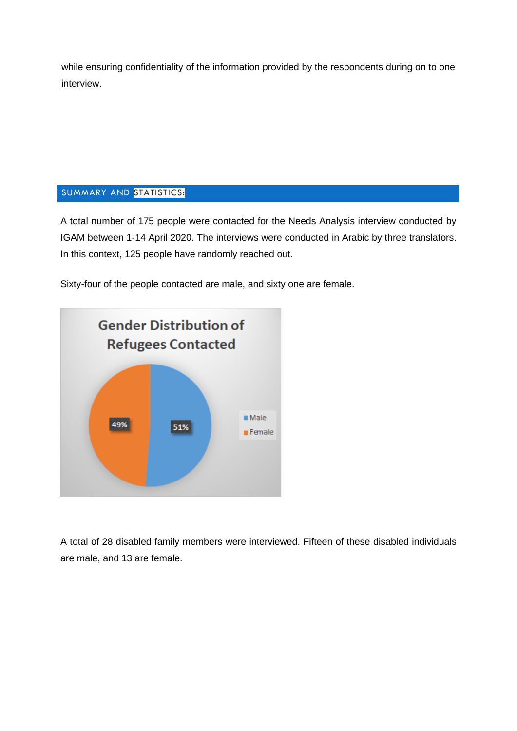while ensuring confidentiality of the information provided by the respondents during on to one interview.

## SUMMARY AND STATISTICS:

A total number of 175 people were contacted for the Needs Analysis interview conducted by IGAM between 1-14 April 2020. The interviews were conducted in Arabic by three translators. In this context, 125 people have randomly reached out.

Sixty-four of the people contacted are male, and sixty one are female.



A total of 28 disabled family members were interviewed. Fifteen of these disabled individuals are male, and 13 are female.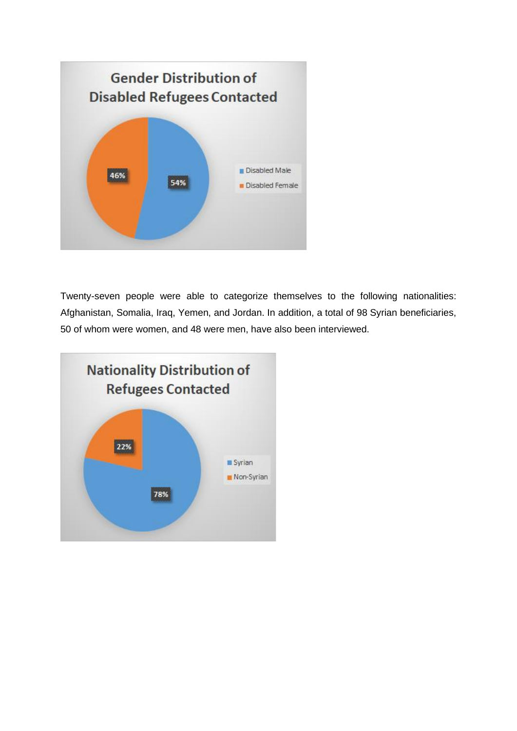

Twenty-seven people were able to categorize themselves to the following nationalities: Afghanistan, Somalia, Iraq, Yemen, and Jordan. In addition, a total of 98 Syrian beneficiaries, 50 of whom were women, and 48 were men, have also been interviewed.

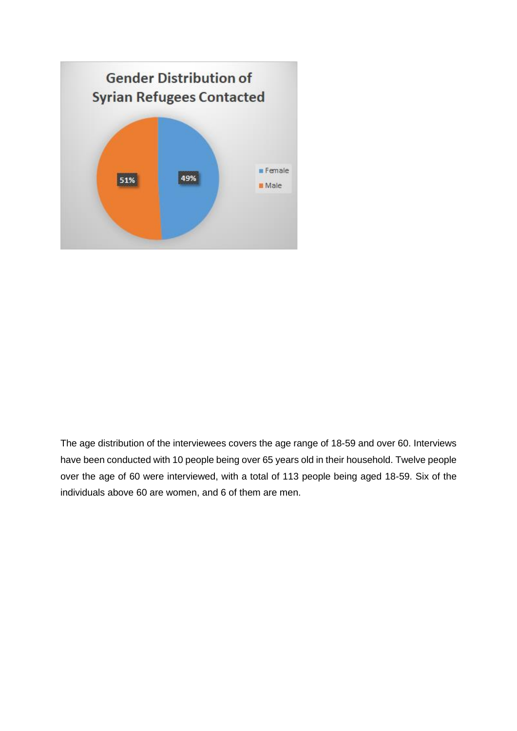

The age distribution of the interviewees covers the age range of 18-59 and over 60. Interviews have been conducted with 10 people being over 65 years old in their household. Twelve people over the age of 60 were interviewed, with a total of 113 people being aged 18-59. Six of the individuals above 60 are women, and 6 of them are men.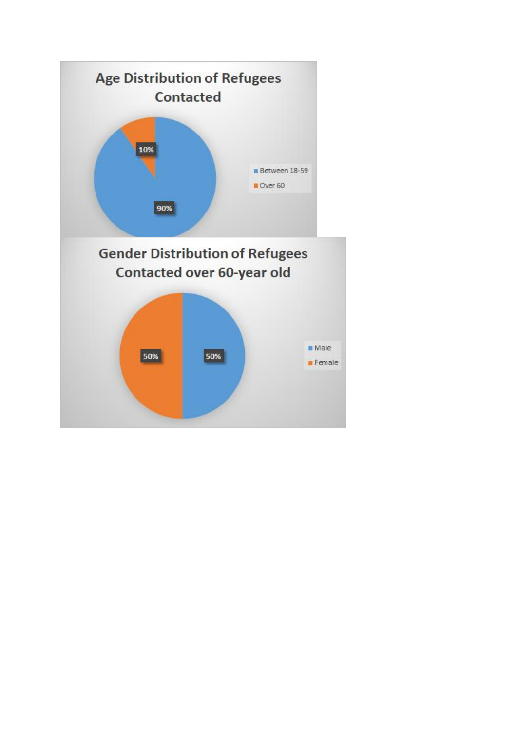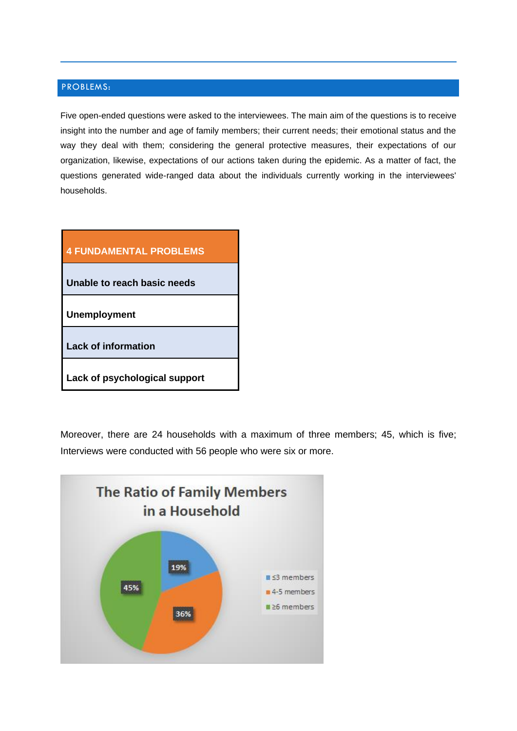## PROBLEMS:

Five open-ended questions were asked to the interviewees. The main aim of the questions is to receive insight into the number and age of family members; their current needs; their emotional status and the way they deal with them; considering the general protective measures, their expectations of our organization, likewise, expectations of our actions taken during the epidemic. As a matter of fact, the questions generated wide-ranged data about the individuals currently working in the interviewees' households.

| <b>4 FUNDAMENTAL PROBLEMS</b> |
|-------------------------------|
| Unable to reach basic needs   |
| <b>Unemployment</b>           |
| <b>Lack of information</b>    |
| Lack of psychological support |

Moreover, there are 24 households with a maximum of three members; 45, which is five; Interviews were conducted with 56 people who were six or more.

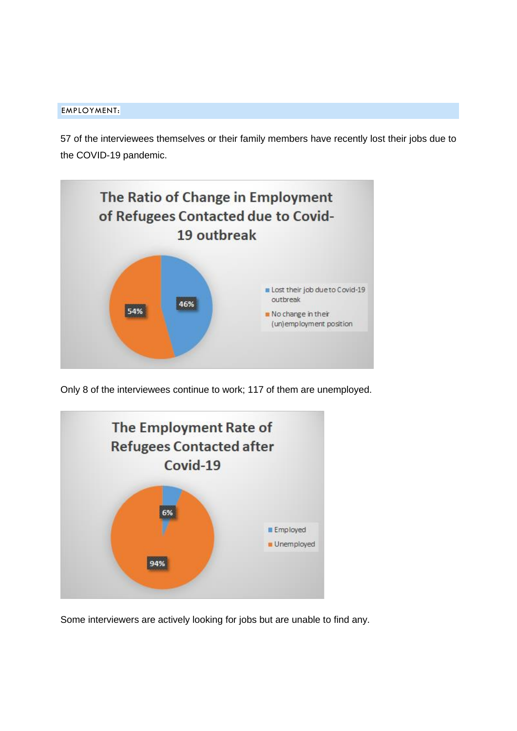#### EMPLOYMENT:

57 of the interviewees themselves or their family members have recently lost their jobs due to the COVID-19 pandemic.



Only 8 of the interviewees continue to work; 117 of them are unemployed.



Some interviewers are actively looking for jobs but are unable to find any.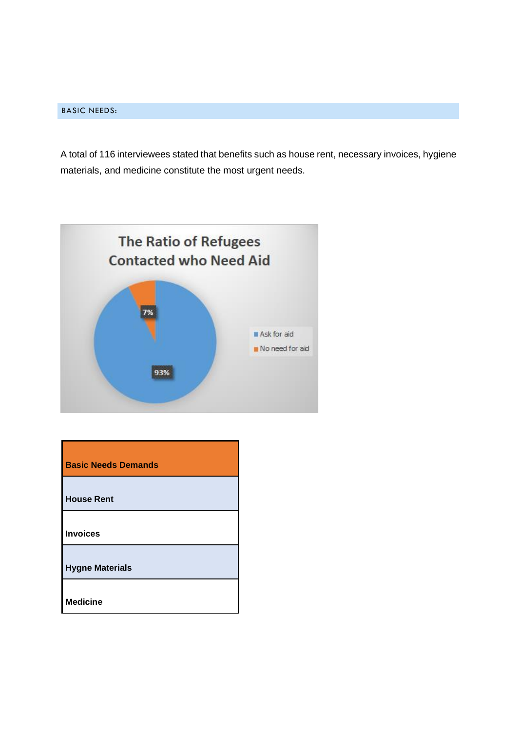#### BASIC NEEDS:

A total of 116 interviewees stated that benefits such as house rent, necessary invoices, hygiene materials, and medicine constitute the most urgent needs.



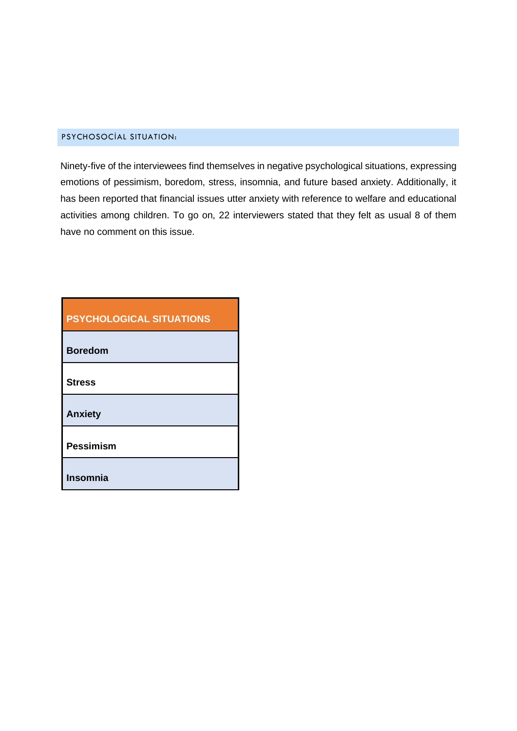#### PSYCHOSOCİAL SITUATION:

Ninety-five of the interviewees find themselves in negative psychological situations, expressing emotions of pessimism, boredom, stress, insomnia, and future based anxiety. Additionally, it has been reported that financial issues utter anxiety with reference to welfare and educational activities among children. To go on, 22 interviewers stated that they felt as usual 8 of them have no comment on this issue.

| <b>PSYCHOLOGICAL SITUATIONS</b> |
|---------------------------------|
| <b>Boredom</b>                  |
| <b>Stress</b>                   |
| <b>Anxiety</b>                  |
| <b>Pessimism</b>                |
| <b>Insomnia</b>                 |